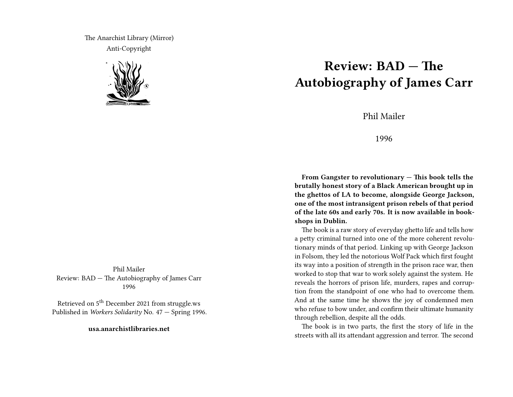The Anarchist Library (Mirror) Anti-Copyright



Phil Mailer Review: BAD — The Autobiography of James Carr 1996

Retrieved on 5<sup>th</sup> December 2021 from struggle.ws Published in *Workers Solidarity* No. 47 — Spring 1996.

**usa.anarchistlibraries.net**

## **Review: BAD — The Autobiography of James Carr**

Phil Mailer

1996

**From Gangster to revolutionary — This book tells the brutally honest story of a Black American brought up in the ghettos of LA to become, alongside George Jackson, one of the most intransigent prison rebels of that period of the late 60s and early 70s. It is now available in bookshops in Dublin.**

The book is a raw story of everyday ghetto life and tells how a petty criminal turned into one of the more coherent revolutionary minds of that period. Linking up with George Jackson in Folsom, they led the notorious Wolf Pack which first fought its way into a position of strength in the prison race war, then worked to stop that war to work solely against the system. He reveals the horrors of prison life, murders, rapes and corruption from the standpoint of one who had to overcome them. And at the same time he shows the joy of condemned men who refuse to bow under, and confirm their ultimate humanity through rebellion, despite all the odds.

The book is in two parts, the first the story of life in the streets with all its attendant aggression and terror. The second